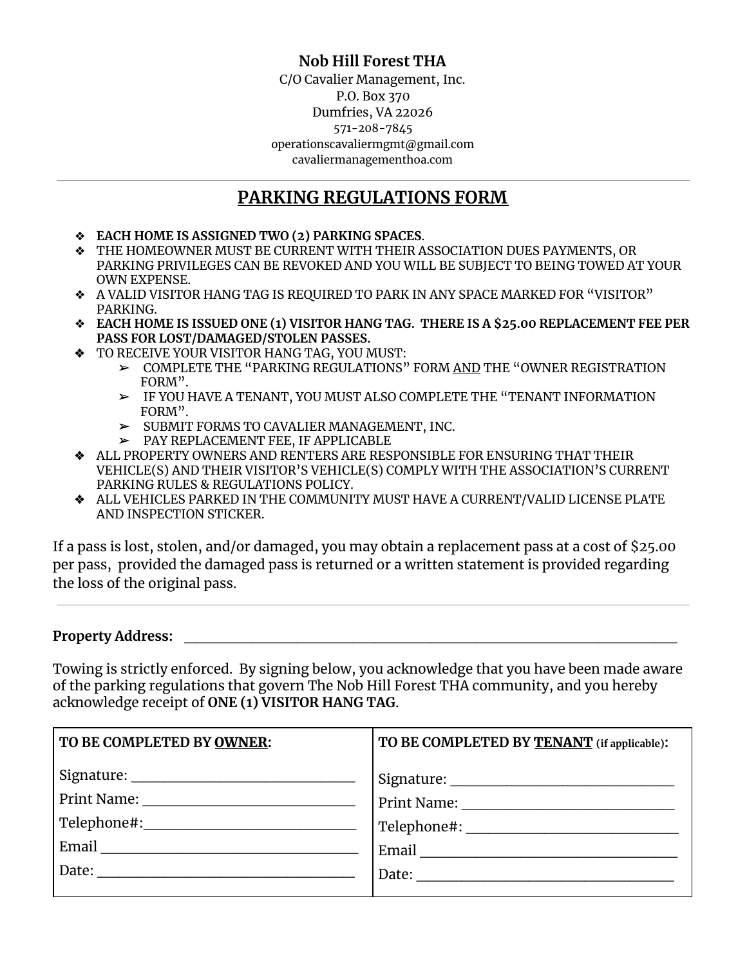### **Nob Hill Forest THA**

C/O Cavalier Management, Inc. P.O. Box 370 Dumfries, VA 22026 571-208-7845 operationscavaliermgmt@gmail.com cavaliermanagementhoa.com

### **PARKING REGULATIONS FORM**

- ❖ **EACH HOME IS ASSIGNED TWO (2) PARKING SPACES**.
- ❖ THE HOMEOWNER MUST BE CURRENT WITH THEIR ASSOCIATION DUES PAYMENTS, OR PARKING PRIVILEGES CAN BE REVOKED AND YOU WILL BE SUBJECT TO BEING TOWED AT YOUR OWN EXPENSE.
- ❖ A VALID VISITOR HANG TAG IS REQUIRED TO PARK IN ANY SPACE MARKED FOR "VISITOR" PARKING.
- ❖ **EACH HOME IS ISSUED ONE (1) VISITOR HANG TAG. THERE IS A \$25.00 REPLACEMENT FEE PER PASS FOR LOST/DAMAGED/STOLEN PASSES.**
- ❖ TO RECEIVE YOUR VISITOR HANG TAG, YOU MUST:
	- ➢ COMPLETE THE "PARKING REGULATIONS" FORM AND THE "OWNER REGISTRATION FORM".
	- ➢ IF YOU HAVE A TENANT, YOU MUST ALSO COMPLETE THE "TENANT INFORMATION FORM".
	- ➢ SUBMIT FORMS TO CAVALIER MANAGEMENT, INC.
	- ➢ PAY REPLACEMENT FEE, IF APPLICABLE
- ❖ ALL PROPERTY OWNERS AND RENTERS ARE RESPONSIBLE FOR ENSURING THAT THEIR VEHICLE(S) AND THEIR VISITOR'S VEHICLE(S) COMPLY WITH THE ASSOCIATION'S CURRENT PARKING RULES & REGULATIONS POLICY.
- ❖ ALL VEHICLES PARKED IN THE COMMUNITY MUST HAVE A CURRENT/VALID LICENSE PLATE AND INSPECTION STICKER.

If a pass is lost, stolen, and/or damaged, you may obtain a replacement pass at a cost of \$25.00 per pass, provided the damaged pass is returned or a written statement is provided regarding the loss of the original pass.

#### **Property Address:** \_\_\_\_\_\_\_\_\_\_\_\_\_\_\_\_\_\_\_\_\_\_\_\_\_\_\_\_\_\_\_\_\_\_\_\_\_\_\_\_\_\_\_\_

Towing is strictly enforced. By signing below, you acknowledge that you have been made aware of the parking regulations that govern The Nob Hill Forest THA community, and you hereby acknowledge receipt of **ONE (1) VISITOR HANG TAG**.

| TO BE COMPLETED BY OWNER:                   | TO BE COMPLETED BY TENANT (if applicable): |
|---------------------------------------------|--------------------------------------------|
|                                             |                                            |
|                                             |                                            |
| Telephone#:________________________________ |                                            |
| Email                                       | Email                                      |
| Date:                                       | Date: <u>_______________________</u>       |
|                                             |                                            |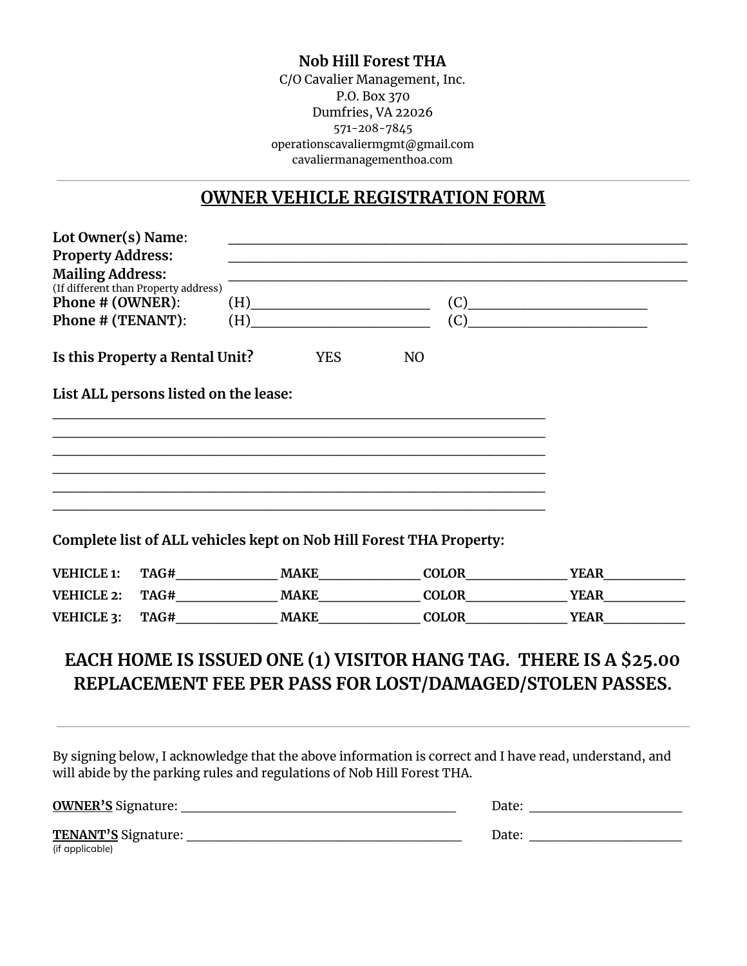#### **Nob Hill Forest THA**

C/O Cavalier Management, Inc. P.O. Box 370 Dumfries, VA 22026 571-208-7845 operationscavaliermgmt@gmail.com cavaliermanagementhoa.com

### **OWNER VEHICLE REGISTRATION FORM**

| <b>Property Address:</b>             |                                       |                                                                                                                                                                                                                                                       |                                                                     |                           |
|--------------------------------------|---------------------------------------|-------------------------------------------------------------------------------------------------------------------------------------------------------------------------------------------------------------------------------------------------------|---------------------------------------------------------------------|---------------------------|
| <b>Mailing Address:</b>              |                                       |                                                                                                                                                                                                                                                       |                                                                     |                           |
| (If different than Property address) |                                       |                                                                                                                                                                                                                                                       |                                                                     |                           |
| Phone # (OWNER):                     |                                       | $(H)$ and $(H)$ and $(H)$ and $(H)$ and $(H)$ and $(H)$ and $(H)$ and $(H)$ and $(H)$ and $(H)$ and $(H)$ and $(H)$ and $(H)$ and $(H)$ and $(H)$ and $(H)$ and $(H)$ and $(H)$ and $(H)$ and $(H)$ and $(H)$ and $(H)$ and $(H)$ and $(H)$ and $(H)$ |                                                                     | (C)                       |
| Phone # (TENANT):                    |                                       | $(H)$ and $(H)$ and $(H)$ and $(H)$ and $(H)$ and $(H)$ and $(H)$ and $(H)$ and $(H)$ and $(H)$ and $(H)$ and $(H)$ and $(H)$ and $(H)$ and $(H)$ and $(H)$ and $(H)$ and $(H)$ and $(H)$ and $(H)$ and $(H)$ and $(H)$ and $(H)$ and $(H)$ and $(H)$ |                                                                     | (C)                       |
|                                      | Is this Property a Rental Unit?       | <b>YES</b>                                                                                                                                                                                                                                            | N <sub>O</sub>                                                      |                           |
|                                      | List ALL persons listed on the lease: |                                                                                                                                                                                                                                                       |                                                                     |                           |
|                                      |                                       |                                                                                                                                                                                                                                                       |                                                                     |                           |
|                                      |                                       |                                                                                                                                                                                                                                                       |                                                                     |                           |
|                                      |                                       |                                                                                                                                                                                                                                                       |                                                                     |                           |
|                                      |                                       |                                                                                                                                                                                                                                                       |                                                                     |                           |
|                                      |                                       |                                                                                                                                                                                                                                                       |                                                                     |                           |
|                                      |                                       |                                                                                                                                                                                                                                                       |                                                                     |                           |
|                                      |                                       |                                                                                                                                                                                                                                                       |                                                                     |                           |
|                                      |                                       |                                                                                                                                                                                                                                                       |                                                                     |                           |
|                                      |                                       |                                                                                                                                                                                                                                                       | Complete list of ALL vehicles kept on Nob Hill Forest THA Property: |                           |
| <b>VEHICLE 1:</b>                    |                                       |                                                                                                                                                                                                                                                       |                                                                     | <b>YEAR</b>               |
| <b>VEHICLE 2:</b>                    |                                       |                                                                                                                                                                                                                                                       |                                                                     | TAG# MAKE COLOR YEAR YEAR |

# **EACH HOME IS ISSUED ONE (1) VISITOR HANG TAG. THERE IS A \$25.00 REPLACEMENT FEE PER PASS FOR LOST/DAMAGED/STOLEN PASSES.**

By signing below, I acknowledge that the above information is correct and I have read, understand, and will abide by the parking rules and regulations of Nob Hill Forest THA.

| <b>OWNER'S Signature:</b>              | Date: |
|----------------------------------------|-------|
| TENANT'S Signature:<br>(if applicable) | Date: |